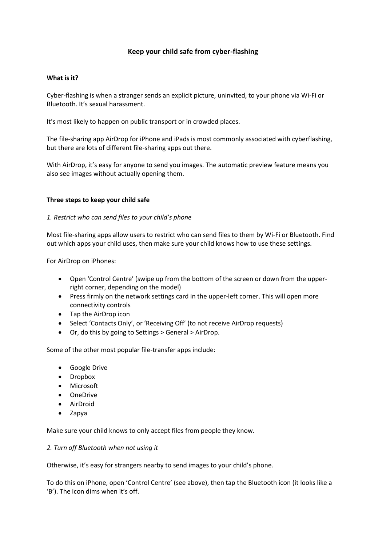# **Keep your child safe from cyber-flashing**

## **What is it?**

Cyber-flashing is when a stranger sends an explicit picture, uninvited, to your phone via Wi-Fi or Bluetooth. It's sexual harassment.

It's most likely to happen on public transport or in crowded places.

The file-sharing app AirDrop for iPhone and iPads is most commonly associated with cyberflashing, but there are lots of different file-sharing apps out there.

With AirDrop, it's easy for anyone to send you images. The automatic preview feature means you also see images without actually opening them.

## **Three steps to keep your child safe**

## *1. Restrict who can send files to your child's phone*

Most file-sharing apps allow users to restrict who can send files to them by Wi-Fi or Bluetooth. Find out which apps your child uses, then make sure your child knows how to use these settings.

For AirDrop on iPhones:

- Open 'Control Centre' (swipe up from the bottom of the screen or down from the upperright corner, depending on the model)
- Press firmly on the network settings card in the upper-left corner. This will open more connectivity controls
- Tap the AirDrop icon
- Select 'Contacts Only', or 'Receiving Off' (to not receive AirDrop requests)
- Or, do this by going to Settings > General > AirDrop.

Some of the other most popular file-transfer apps include:

- Google Drive
- Dropbox
- Microsoft
- OneDrive
- AirDroid
- Zapya

Make sure your child knows to only accept files from people they know.

## *2. Turn off Bluetooth when not using it*

Otherwise, it's easy for strangers nearby to send images to your child's phone.

To do this on iPhone, open 'Control Centre' (see above), then tap the Bluetooth icon (it looks like a 'B'). The icon dims when it's off.